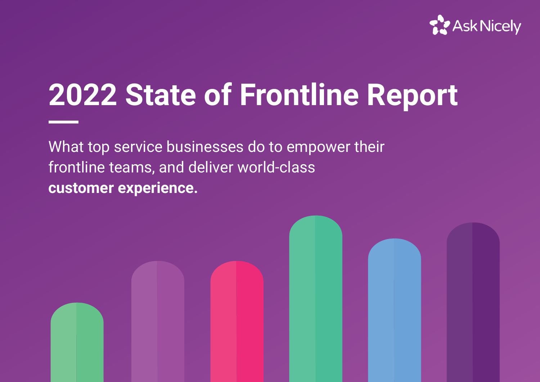

# **2022 State of Frontline Report**

What top service businesses do to empower their frontline teams, and deliver world-class **customer experience.**

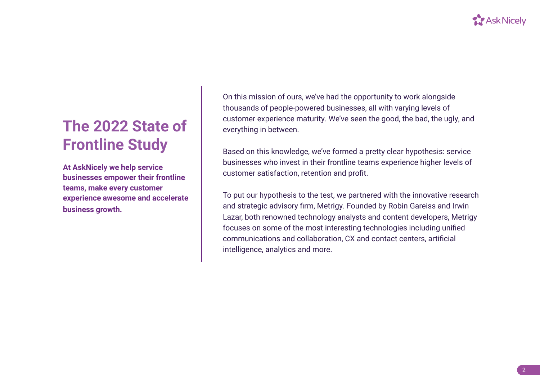

## **The 2022 State of Frontline Study**

**At AskNicely we help service businesses empower their frontline teams, make every customer experience awesome and accelerate business growth.** 

On this mission of ours, we've had the opportunity to work alongside thousands of people-powered businesses, all with varying levels of customer experience maturity. We've seen the good, the bad, the ugly, and everything in between.

Based on this knowledge, we've formed a pretty clear hypothesis: service businesses who invest in their frontline teams experience higher levels of customer satisfaction, retention and profit.

To put our hypothesis to the test, we partnered with the innovative research and strategic advisory firm, Metrigy. Founded by Robin Gareiss and Irwin Lazar, both renowned technology analysts and content developers, Metrigy focuses on some of the most interesting technologies including unified communications and collaboration, CX and contact centers, artificial intelligence, analytics and more.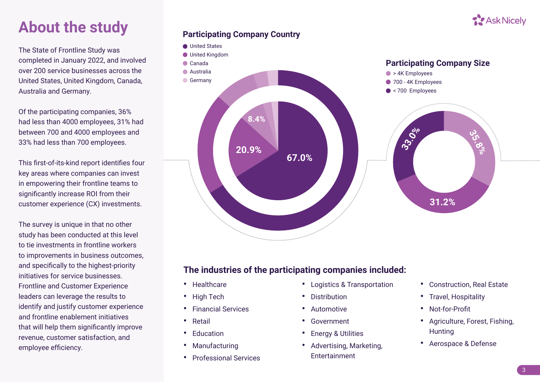

## **About the study**

The State of Frontline Study was completed in January 2022, and involved over 200 service businesses across the United States, United Kingdom, Canada, Australia and Germany.

Of the participating companies, 36% had less than 4000 employees, 31% had between 700 and 4000 employees and 33% had less than 700 employees.

This first-of-its-kind report identifies four key areas where companies can invest in empowering their frontline teams to significantly increase ROI from their customer experience (CX) investments.

The survey is unique in that no other study has been conducted at this level to tie investments in frontline workers to improvements in business outcomes, and specifically to the highest-priority initiatives for service businesses. Frontline and Customer Experience leaders can leverage the results to identify and justify customer experience and frontline enablement initiatives that will help them significantly improve revenue, customer satisfaction, and employee efficiency.





## **The industries of the participating companies included:**

- **•** Healthcare
- **•** High Tech
- **•** Financial Services
- **•** Retail
- **•** Education
- **•** Manufacturing
- **•** Professional Services
- **•** Logistics & Transportation
- **•** Distribution
- **•** Automotive
- **•** Government
- **•** Energy & Utilities
- **•** Advertising, Marketing, Entertainment
- **•** Construction, Real Estate
- **•** Travel, Hospitality
- **•** Not-for-Profit
- **•** Agriculture, Forest, Fishing, **Hunting**
- **•** Aerospace & Defense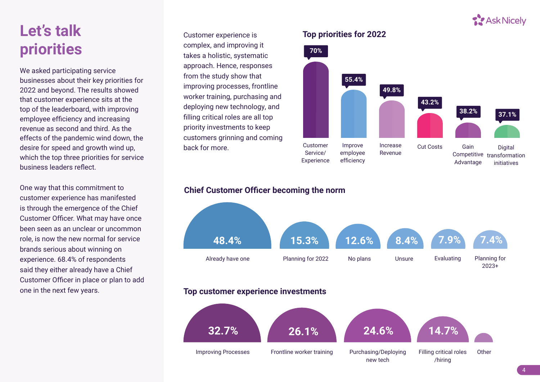

## **Let's talk priorities**

We asked participating service businesses about their key priorities for 2022 and beyond. The results showed that customer experience sits at the top of the leaderboard, with improving employee efficiency and increasing revenue as second and third. As the effects of the pandemic wind down, the desire for speed and growth wind up, which the top three priorities for service business leaders reflect.

One way that this commitment to customer experience has manifested is through the emergence of the Chief Customer Officer. What may have once been seen as an unclear or uncommon role, is now the new normal for service brands serious about winning on experience. 68.4% of respondents said they either already have a Chief Customer Officer in place or plan to add one in the next few years.

Customer experience is complex, and improving it takes a holistic, systematic approach. Hence, responses from the study show that improving processes, frontline worker training, purchasing and deploying new technology, and filling critical roles are all top priority investments to keep customers grinning and coming back for more. Customer



### **Chief Customer Officer becoming the norm**



### **Top customer experience investments**

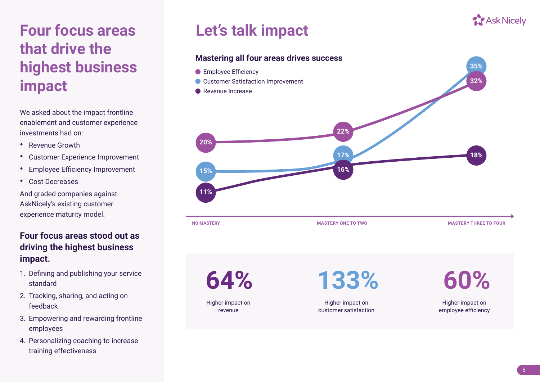## **Four focus areas that drive the highest business impact**

We asked about the impact frontline enablement and customer experience investments had on:

- **•** Revenue Growth
- **•** Customer Experience Improvement
- **•** Employee Efficiency Improvement
- **•** Cost Decreases

And graded companies against AskNicely's existing customer experience maturity model.

## **Four focus areas stood out as driving the highest business impact.**

- 1. Defining and publishing your service standard
- 2. Tracking, sharing, and acting on feedback
- 3. Empowering and rewarding frontline employees
- 4. Personalizing coaching to increase training effectiveness

## **Let's talk impact**

### **Mastering all four areas drives success**

- **Employee Efficiency**
- **Customer Satisfaction Improvement**
- Revenue Increase



Higher impact on revenue

**64% 133% 60%**

Higher impact on customer satisfaction

Higher impact on employee efficiency



**35%**

**32%**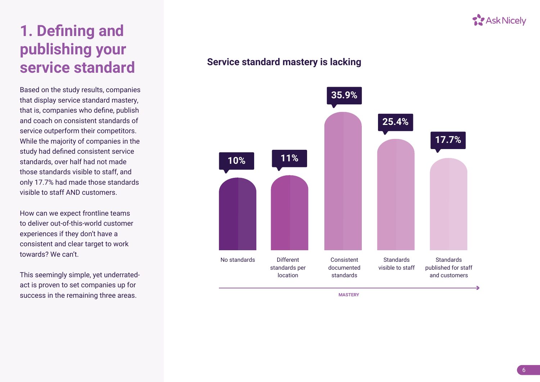

## **1. Defining and publishing your service standard**

Based on the study results, companies that display service standard mastery, that is, companies who define, publish and coach on consistent standards of service outperform their competitors. While the majority of companies in the study had defined consistent service standards, over half had not made those standards visible to staff, and only 17.7% had made those standards visible to staff AND customers.

How can we expect frontline teams to deliver out-of-this-world customer experiences if they don't have a consistent and clear target to work towards? We can't.

This seemingly simple, yet underratedact is proven to set companies up for success in the remaining three areas.

## **Service standard mastery is lacking**

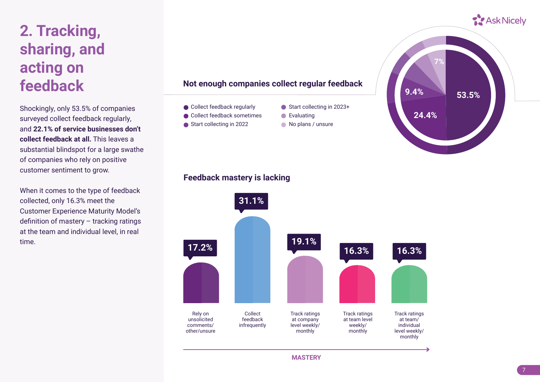## **2. Tracking, sharing, and acting on feedback**

Shockingly, only 53.5% of companies surveyed collect feedback regularly, and **22.1% of service businesses don't collect feedback at all.** This leaves a substantial blindspot for a large swathe of companies who rely on positive customer sentiment to grow.

When it comes to the type of feedback collected, only 16.3% meet the Customer Experience Maturity Model's definition of mastery – tracking ratings at the team and individual level, in real time.

#### **Not enough companies collect regular feedback**

- Collect feedback regularly
- Collect feedback sometimes
- Start collecting in 2022
- Start collecting in 2023+
- Evaluating
- No plans / unsure



#### **Feedback mastery is lacking**

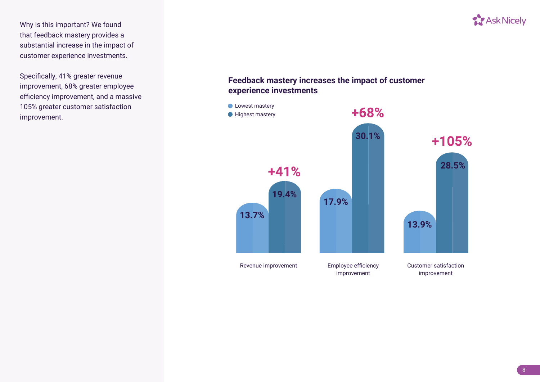Why is this important? We found that feedback mastery provides a substantial increase in the impact of customer experience investments.

Specifically, 41% greater revenue improvement, 68% greater employee efficiency improvement, and a massive 105% greater customer satisfaction improvement.

## **T.** Ask Nicely

### **Feedback mastery increases the impact of customer experience investments**

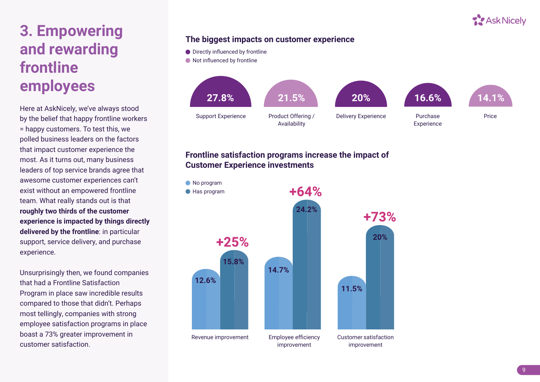

## **3. Empowering and rewarding frontline employees**

Here at AskNicely, we've always stood by the belief that happy frontline workers = happy customers. To test this, we polled business leaders on the factors that impact customer experience the most. As it turns out, many business leaders of top service brands agree that awesome customer experiences can't exist without an empowered frontline team. What really stands out is that **roughly two thirds of the customer experience is impacted by things directly delivered by the frontline**: in particular support, service delivery, and purchase experience.

Unsurprisingly then, we found companies that had a Frontline Satisfaction Program in place saw incredible results compared to those that didn't. Perhaps most tellingly, companies with strong employee satisfaction programs in place boast a 73% greater improvement in customer satisfaction.

### **The biggest impacts on customer experience**

● Directly influenced by frontline

 $\bullet$  Not influenced by frontline



### **Frontline satisfaction programs increase the impact of Customer Experience investments**

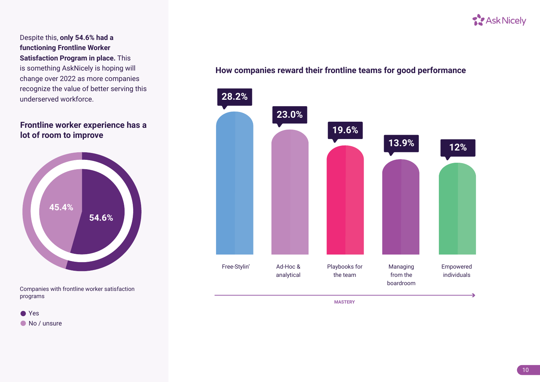

Despite this, **only 54.6% had a functioning Frontline Worker Satisfaction Program in place.** This is something AskNicely is hoping will change over 2022 as more companies recognize the value of better serving this underserved workforce.

### **Frontline worker experience has a lot of room to improve**



Companies with frontline worker satisfaction programs

● Yes

 $\bullet$  No / unsure

### **How companies reward their frontline teams for good performance**



10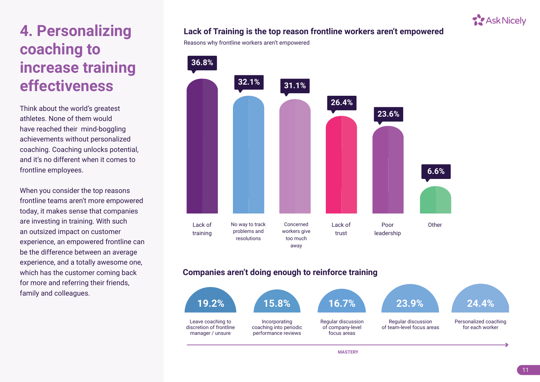## **4. Personalizing coaching to increase training effectiveness**

Think about the world's greatest athletes. None of them would have reached their mind-boggling achievements without personalized coaching. Coaching unlocks potential, and it's no different when it comes to frontline employees.

When you consider the top reasons frontline teams aren't more empowered today, it makes sense that companies are investing in training. With such an outsized impact on customer experience, an empowered frontline can be the difference between an average experience, and a totally awesome one, which has the customer coming back for more and referring their friends, family and colleagues.

### **Lack of Training is the top reason frontline workers aren't empowered**

Reasons why frontline workers aren't empowered



### **Companies aren't doing enough to reinforce training**



**S** Ask Nicely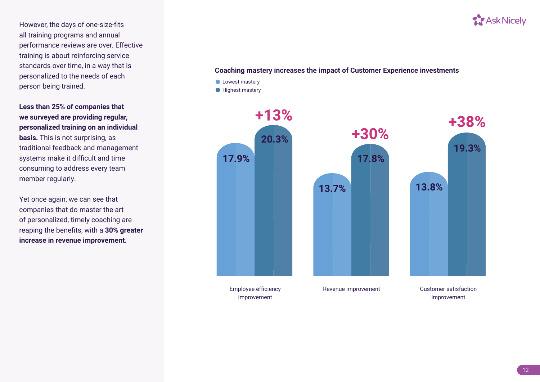However, the days of one-size-fits all training programs and annual performance reviews are over. Effective training is about reinforcing service standards over time, in a way that is personalized to the needs of each person being trained.

**Less than 25% of companies that we surveyed are providing regular, personalized training on an individual basis.** This is not surprising, as traditional feedback and management systems make it difficult and time consuming to address every team member regularly.

Yet once again, we can see that companies that do master the art of personalized, timely coaching are reaping the benefits, with a **30% greater increase in revenue improvement.**

#### **Coaching mastery increases the impact of Customer Experience investments**

- **C** Lowest mastery
- **Highest mastery**



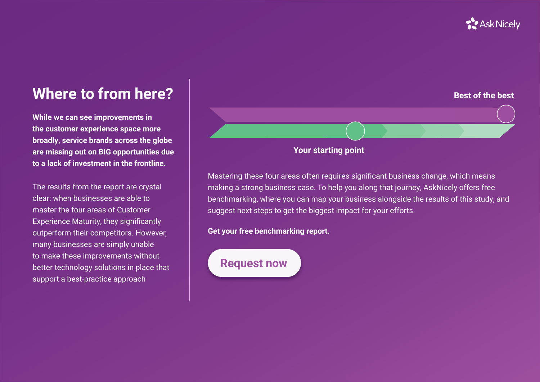## **T.** Ask Nicely

## **Where to from here?**

**While we can see improvements in the customer experience space more broadly, service brands across the globe are missing out on BIG opportunities due to a lack of investment in the frontline.** 

The results from the report are crystal clear: when businesses are able to master the four areas of Customer Experience Maturity, they significantly outperform their competitors. However, many businesses are simply unable to make these improvements without better technology solutions in place that support a best-practice approach



Mastering these four areas often requires significant business change, which means making a strong business case. To help you along that journey, AskNicely offers free benchmarking, where you can map your business alongside the results of this study, and suggest next steps to get the biggest impact for your efforts.

**Get your free benchmarking report.**

## **Request now**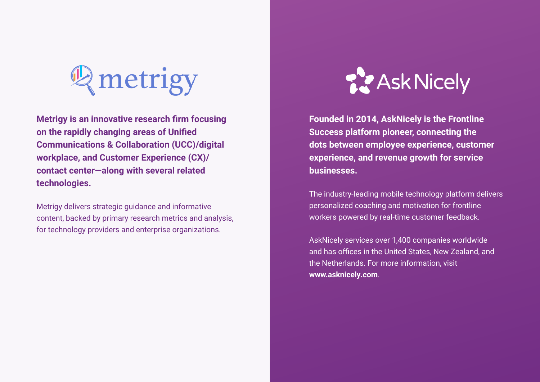

**Metrigy is an innovative research firm focusing on the rapidly changing areas of Unified Communications & Collaboration (UCC)/digital workplace, and Customer Experience (CX)/ contact center—along with several related technologies.** 

Metrigy delivers strategic guidance and informative content, backed by primary research metrics and analysis, for technology providers and enterprise organizations.



**Founded in 2014, AskNicely is the Frontline Success platform pioneer, connecting the dots between employee experience, customer experience, and revenue growth for service businesses.**

The industry-leading mobile technology platform delivers personalized coaching and motivation for frontline workers powered by real-time customer feedback.

AskNicely services over 1,400 companies worldwide and has offices in the United States, New Zealand, and the Netherlands. For more information, visit **[www.asknicely.com](http://www.asknicely.com)**.